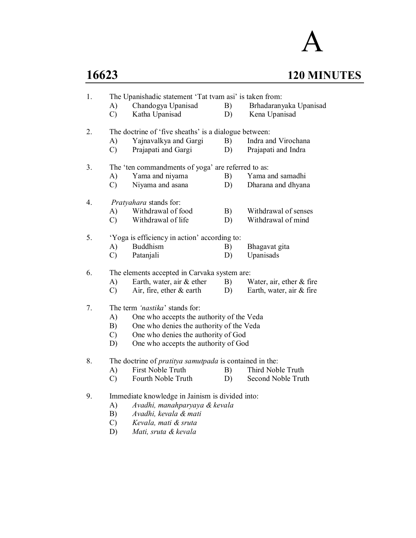# A **16623 120 MINUTES**

| 1. |                     | The Upanishadic statement 'Tat tvam asi' is taken from:        |          |                                            |  |  |  |  |
|----|---------------------|----------------------------------------------------------------|----------|--------------------------------------------|--|--|--|--|
|    | A)<br>$\mathcal{C}$ | Chandogya Upanisad<br>Katha Upanisad                           | B)<br>D) | Brhadaranyaka Upanisad<br>Kena Upanisad    |  |  |  |  |
|    |                     |                                                                |          |                                            |  |  |  |  |
| 2. |                     | The doctrine of 'five sheaths' is a dialogue between:          |          |                                            |  |  |  |  |
|    | A)<br>$\mathcal{C}$ | Yajnavalkya and Gargi<br>Prajapati and Gargi                   | B)<br>D) | Indra and Virochana<br>Prajapati and Indra |  |  |  |  |
|    |                     |                                                                |          |                                            |  |  |  |  |
| 3. |                     | The 'ten commandments of yoga' are referred to as:             |          |                                            |  |  |  |  |
|    | A)                  | Yama and niyama                                                | B)       | Yama and samadhi                           |  |  |  |  |
|    | $\mathcal{C}$       | Niyama and asana                                               | D)       | Dharana and dhyana                         |  |  |  |  |
| 4. |                     | Pratyahara stands for:                                         |          |                                            |  |  |  |  |
|    | A)                  | Withdrawal of food                                             | B)       | Withdrawal of senses                       |  |  |  |  |
|    | $\mathcal{C}$       | Withdrawal of life                                             | D)       | Withdrawal of mind                         |  |  |  |  |
| 5. |                     | 'Yoga is efficiency in action' according to:                   |          |                                            |  |  |  |  |
|    | A)                  | <b>Buddhism</b>                                                | B)       | Bhagavat gita                              |  |  |  |  |
|    | $\mathcal{C}$       | Patanjali                                                      | D)       | Upanisads                                  |  |  |  |  |
| 6. |                     | The elements accepted in Carvaka system are:                   |          |                                            |  |  |  |  |
|    | A)                  | Earth, water, air & ether                                      | B)       | Water, air, ether $&$ fire                 |  |  |  |  |
|    | $\mathcal{C}$       | Air, fire, ether $\&$ earth                                    | D)       | Earth, water, air & fire                   |  |  |  |  |
| 7. |                     | The term 'nastika' stands for:                                 |          |                                            |  |  |  |  |
|    |                     | One who accepts the authority of the Veda<br>A)                |          |                                            |  |  |  |  |
|    | B)                  | One who denies the authority of the Veda                       |          |                                            |  |  |  |  |
|    |                     | One who denies the authority of God<br>$\mathcal{C}$           |          |                                            |  |  |  |  |
|    |                     | One who accepts the authority of God<br>D)                     |          |                                            |  |  |  |  |
|    |                     |                                                                |          |                                            |  |  |  |  |
| 8. |                     | The doctrine of <i>pratitya samutpada</i> is contained in the: |          |                                            |  |  |  |  |
|    | A)                  | First Noble Truth                                              | B)       | Third Noble Truth                          |  |  |  |  |
|    | $\mathcal{C}$       | Fourth Noble Truth                                             | D)       | Second Noble Truth                         |  |  |  |  |
| 9. |                     | Immediate knowledge in Jainism is divided into:                |          |                                            |  |  |  |  |
|    | A)                  | Avadhi, manahparyaya & kevala                                  |          |                                            |  |  |  |  |
|    |                     | $D)$ $\Delta u$ adki kovala funati                             |          |                                            |  |  |  |  |

- B) *Avadhi, kevala & mati*
- C) *Kevala, mati & sruta*
	- D) *Mati, sruta & kevala*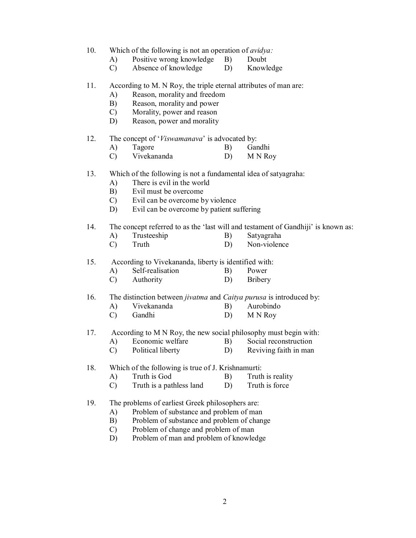- 10. Which of the following is not an operation of *avidya:*
	- A) Positive wrong knowledge B) Doubt
	- C) Absence of knowledge D) Knowledge

#### 11. According to M. N Roy, the triple eternal attributes of man are:

- A) Reason, morality and freedom
- B) Reason, morality and power
- C) Morality, power and reason
- D) Reason, power and morality

12. The concept of '*Viswamanava*' is advocated by:

- A) Tagore B) Gandhi
- C) Vivekananda D) M N Roy

#### 13. Which of the following is not a fundamental idea of satyagraha:

- A) There is evil in the world
- B) Evil must be overcome
- C) Evil can be overcome by violence
- D) Evil can be overcome by patient suffering

#### 14. The concept referred to as the 'last will and testament of Gandhiji' is known as:

- A) Trusteeship B) Satyagraha
- C) Truth D) Non-violence

15. According to Vivekananda, liberty is identified with:

- A) Self-realisation B) Power
- C) Authority D) Bribery

#### 16. The distinction between *jivatma* and *Caitya purusa* is introduced by:

- A) Vivekananda B) Aurobindo
- C) Gandhi D) M N Roy

17. According to M N Roy, the new social philosophy must begin with:

- A) Economic welfare B) Social reconstruction
- C) Political liberty D) Reviving faith in man

18. Which of the following is true of J. Krishnamurti:

- A) Truth is God B) Truth is reality
- C) Truth is a pathless land D) Truth is force

#### 19. The problems of earliest Greek philosophers are:

- A) Problem of substance and problem of man
- B) Problem of substance and problem of change
- C) Problem of change and problem of man
- D) Problem of man and problem of knowledge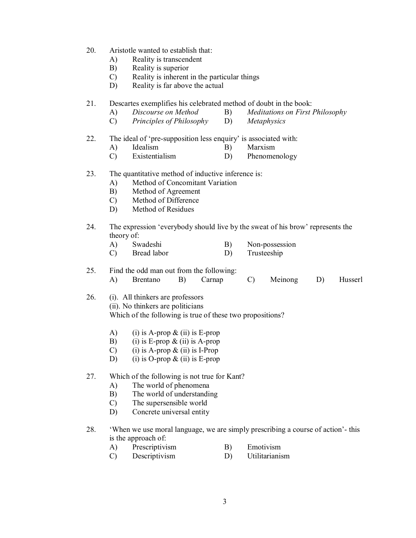- 20. Aristotle wanted to establish that:
	- A) Reality is transcendent
	- B) Reality is superior
	- C) Reality is inherent in the particular things
	- D) Reality is far above the actual

21. Descartes exemplifies his celebrated method of doubt in the book:

- A) *Discourse on Method* B) *Meditations on First Philosophy*
- C) *Principles of Philosophy* D) *Metaphysics*

#### 22. The ideal of 'pre-supposition less enquiry' is associated with:

- A) Idealism B) Marxism
- C) Existentialism D) Phenomenology

#### 23. The quantitative method of inductive inference is:

- A) Method of Concomitant Variation
- B) Method of Agreement
- C) Method of Difference
- D) Method of Residues
- 24. The expression 'everybody should live by the sweat of his brow' represents the theory of:

| Swadeshi | Non-possession |
|----------|----------------|
|          |                |

C) Bread labor D) Trusteeship

25. Find the odd man out from the following: A) Brentano B) Carnap C) Meinong D) Husserl

#### 26. (i). All thinkers are professors (ii). No thinkers are politicians Which of the following is true of these two propositions?

- A) (i) is A-prop  $\&$  (ii) is E-prop
- B) (i) is E-prop  $\&$  (ii) is A-prop
- C) (i) is A-prop  $\&$  (ii) is I-Prop
- D) (i) is O-prop  $\&$  (ii) is E-prop

#### 27. Which of the following is not true for Kant?

- A) The world of phenomena
- B) The world of understanding
- C) The supersensible world
- D) Concrete universal entity

#### 28. 'When we use moral language, we are simply prescribing a course of action'- this is the approach of:

- A) Prescriptivism B) Emotivism
- C) Descriptivism D) Utilitarianism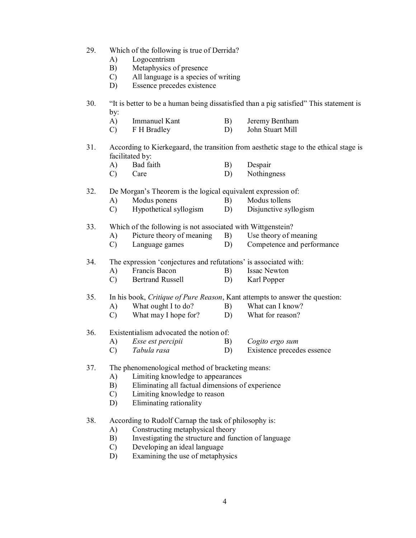- 29. Which of the following is true of Derrida?
	- A) Logocentrism
	- B) Metaphysics of presence
	- C) All language is a species of writing
	- D) Essence precedes existence
- 30. "It is better to be a human being dissatisfied than a pig satisfied" This statement is by:
	- A) Immanuel Kant B) Jeremy Bentham
	- C) F H Bradley D) John Stuart Mill
- 31. According to Kierkegaard, the transition from aesthetic stage to the ethical stage is facilitated by:
	- A) Bad faith B) Despair
	- C) Care D) Nothingness

32. De Morgan's Theorem is the logical equivalent expression of:

- A) Modus ponens B) Modus tollens
- C) Hypothetical syllogism D) Disjunctive syllogism

33. Which of the following is not associated with Wittgenstein?

- A) Picture theory of meaning B) Use theory of meaning
- C) Language games D) Competence and performance
- 34. The expression 'conjectures and refutations' is associated with:
	- A) Francis Bacon B) Issac Newton
	- C) Bertrand Russell D) Karl Popper

35. In his book, *Critique of Pure Reason*, Kant attempts to answer the question:

- A) What ought I to do? B)
- C) What may I hope for? D) What for reason?

#### 36. Existentialism advocated the notion of:

- A) *Esse est percipii* B) *Cogito ergo sum*
- C) *Tabula rasa* D) Existence precedes essence

#### 37. The phenomenological method of bracketing means:

- A) Limiting knowledge to appearances
- B) Eliminating all factual dimensions of experience
- C) Limiting knowledge to reason
- D) Eliminating rationality
- 38. According to Rudolf Carnap the task of philosophy is:
	- A) Constructing metaphysical theory
	- B) Investigating the structure and function of language
	- C) Developing an ideal language
	- D) Examining the use of metaphysics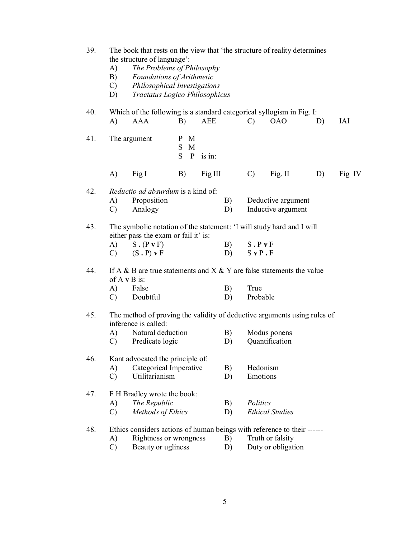| 39. | A)<br>B)<br>$\mathcal{C}$<br>D) | The book that rests on the view that 'the structure of reality determines<br>the structure of language':<br>The Problems of Philosophy<br>Foundations of Arithmetic<br>Philosophical Investigations<br>Tractatus Logico Philosophicus |                                        |            |          |                                          |                                        |    |            |
|-----|---------------------------------|---------------------------------------------------------------------------------------------------------------------------------------------------------------------------------------------------------------------------------------|----------------------------------------|------------|----------|------------------------------------------|----------------------------------------|----|------------|
| 40. | A)                              | Which of the following is a standard categorical syllogism in Fig. I:<br><b>AAA</b>                                                                                                                                                   | B)                                     | <b>AEE</b> |          | $\mathcal{C}$                            | <b>OAO</b>                             | D) | <b>IAI</b> |
| 41. |                                 | The argument                                                                                                                                                                                                                          | M<br>P<br>S.<br>M<br>S<br>$\mathbf{P}$ | is in:     |          |                                          |                                        |    |            |
|     | A)                              | Fig I                                                                                                                                                                                                                                 | B)                                     | Fig III    |          | $\mathcal{C}$                            | Fig. II                                | D) | Fig IV     |
| 42. | A)<br>$\mathcal{C}$             | <i>Reductio ad absurdum</i> is a kind of:<br>Proposition<br>Analogy                                                                                                                                                                   |                                        |            | B)<br>D) | Deductive argument<br>Inductive argument |                                        |    |            |
| 43. | A)<br>$\mathcal{C}$             | The symbolic notation of the statement: 'I will study hard and I will<br>either pass the exam or fail it' is:<br>$S \cdot (P \cdot F)$<br>(S.P) v F                                                                                   |                                        |            | B)<br>D) | S.P.<br>$S$ v $P$ . $F$                  |                                        |    |            |
| 44. | A)<br>$\mathcal{C}$             | If A & B are true statements and $X \& Y$ are false statements the value<br>of $A \vee B$ is:<br>False<br>Doubtful                                                                                                                    |                                        |            | B)<br>D) | True<br>Probable                         |                                        |    |            |
| 45. | A)<br>$\mathcal{C}$             | The method of proving the validity of deductive arguments using rules of<br>inference is called:<br>Natural deduction<br>Predicate logic                                                                                              |                                        |            | B)<br>D) |                                          | Modus ponens<br>Quantification         |    |            |
| 46. | A)<br>$\mathcal{C}$             | Kant advocated the principle of:<br>Categorical Imperative<br>Utilitarianism                                                                                                                                                          |                                        |            | B)<br>D) | Hedonism<br>Emotions                     |                                        |    |            |
| 47. | A)<br>$\mathcal{C}$             | F H Bradley wrote the book:<br>The Republic<br>Methods of Ethics                                                                                                                                                                      |                                        |            | B)<br>D) | Politics                                 | <b>Ethical Studies</b>                 |    |            |
| 48. | A)<br>$\mathcal{C}$             | Ethics considers actions of human beings with reference to their ------<br>Rightness or wrongness<br>Beauty or ugliness                                                                                                               |                                        |            | B)<br>D) |                                          | Truth or falsity<br>Duty or obligation |    |            |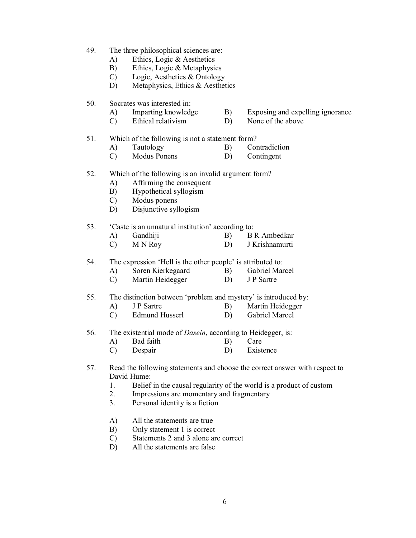- 49. The three philosophical sciences are:
	- A) Ethics, Logic & Aesthetics
	- B) Ethics, Logic & Metaphysics
	- C) Logic, Aesthetics & Ontology
	- D) Metaphysics, Ethics & Aesthetics
- 50. Socrates was interested in:
	- A) Imparting knowledge B) Exposing and expelling ignorance
	- C) Ethical relativism D) None of the above

#### 51. Which of the following is not a statement form?

- A) Tautology B) Contradiction
- C) Modus Ponens D) Contingent

#### 52. Which of the following is an invalid argument form?

- A) Affirming the consequent
- B) Hypothetical syllogism
- C) Modus ponens
- D) Disjunctive syllogism

#### 53. 'Caste is an unnatural institution' according to:

- A) Gandhiji B) B R Ambedkar<br>C) M N Rov D) J Krishnamurti
- C) M N Roy D) J Krishnamurti

54. The expression 'Hell is the other people' is attributed to:

- A) Soren Kierkegaard B) Gabriel Marcel
- C) Martin Heidegger D) J P Sartre

## 55. The distinction between 'problem and mystery' is introduced by:<br>
A) J P Sartre B) Martin Heidegger

- A) J P Sartre B) Martin Heidegger<br>
C) Edmund Husserl B) Gabriel Marcel
- C) Edmund Husserl D)
- 56. The existential mode of *Dasein*, according to Heidegger, is:
	- A) Bad faith B) Care
	- C) Despair D) Existence

#### 57. Read the following statements and choose the correct answer with respect to David Hume:

- 1. Belief in the causal regularity of the world is a product of custom
- 2. Impressions are momentary and fragmentary
- 3. Personal identity is a fiction
- A) All the statements are true
- B) Only statement 1 is correct
- C) Statements 2 and 3 alone are correct
- D) All the statements are false
- 
-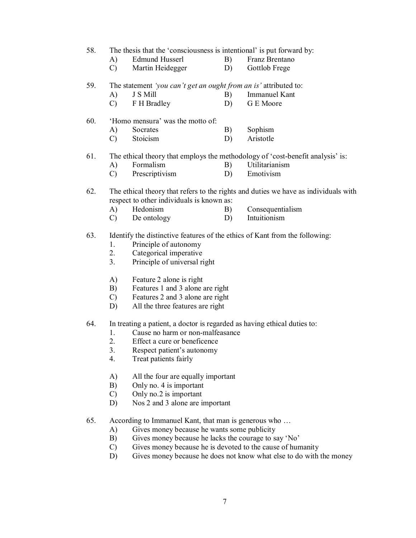58. The thesis that the 'consciousness is intentional' is put forward by:

- 
- A) Edmund Husserl B) Franz Brentano
- C) Martin Heidegger D) Gottlob Frege

59. The statement *'you can't get an ought from an is'* attributed to:

- A) J S Mill B) Immanuel Kant
- C) F H Bradley D) G E Moore

#### 60. 'Homo mensura' was the motto of:

- A) Socrates B) Sophism
- C) Stoicism D) Aristotle

#### 61. The ethical theory that employs the methodology of 'cost-benefit analysis' is:

- A) Formalism B) Utilitarianism
- C) Prescriptivism D) Emotivism

#### 62. The ethical theory that refers to the rights and duties we have as individuals with respect to other individuals is known as:

- A) Hedonism B) Consequentialism
	- C) De ontology D) Intuitionism

#### 63. Identify the distinctive features of the ethics of Kant from the following:

- 1. Principle of autonomy
- 2. Categorical imperative
- 3. Principle of universal right
- A) Feature 2 alone is right
- B) Features 1 and 3 alone are right
- C) Features 2 and 3 alone are right
- D) All the three features are right

### 64. In treating a patient, a doctor is regarded as having ethical duties to:

- 1. Cause no harm or non-malfeasance
- 2. Effect a cure or beneficence
- 3. Respect patient's autonomy
- 4. Treat patients fairly
- A) All the four are equally important
- B) Only no. 4 is important
- C) Only no.2 is important
- D) Nos 2 and 3 alone are important
- 65. According to Immanuel Kant, that man is generous who …
	- A) Gives money because he wants some publicity
	- B) Gives money because he lacks the courage to say 'No'
	- C) Gives money because he is devoted to the cause of humanity
	- D) Gives money because he does not know what else to do with the money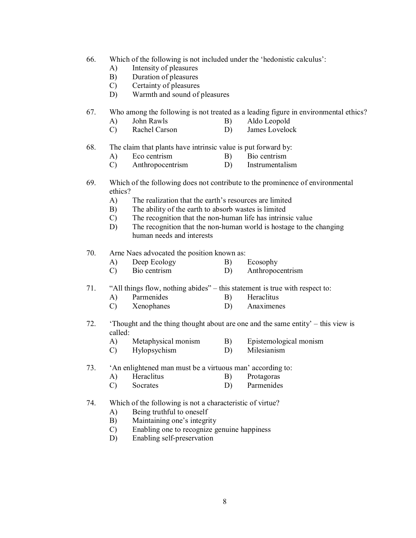- 66. Which of the following is not included under the 'hedonistic calculus':
	- A) Intensity of pleasures
	- B) Duration of pleasures
	- C) Certainty of pleasures
	- D) Warmth and sound of pleasures
- 67. Who among the following is not treated as a leading figure in environmental ethics?
	- A) John Rawls B) Aldo Leopold
	- C) Rachel Carson D) James Lovelock
- 68. The claim that plants have intrinsic value is put forward by:
	- A) Eco centrism B) Bio centrism
	- C) Anthropocentrism D) Instrumentalism
- 69. Which of the following does not contribute to the prominence of environmental ethics?
	- A) The realization that the earth's resources are limited
	- B) The ability of the earth to absorb wastes is limited
	- C) The recognition that the non-human life has intrinsic value
	- D) The recognition that the non-human world is hostage to the changing human needs and interests
- 70. Arne Naes advocated the position known as:
	- A) Deep Ecology B) Ecosophy
	- C) Bio centrism D) Anthropocentrism
- 71. "All things flow, nothing abides" this statement is true with respect to:
	- A) Parmenides B) Heraclitus<br>C) Xenophanes D) Anaximene
	- C) Xenophanes D) Anaximenes
- 72. 'Thought and the thing thought about are one and the same entity' this view is called:
	- A) Metaphysical monism B) Epistemological monism
	- C) Hylopsychism D) Milesianism
- 73. 'An enlightened man must be a virtuous man' according to:
	- A) Heraclitus B) Protagoras
	- C) Socrates D) Parmenides
- 74. Which of the following is not a characteristic of virtue?
	- A) Being truthful to oneself
	- B) Maintaining one's integrity
	- C) Enabling one to recognize genuine happiness
	- D) Enabling self-preservation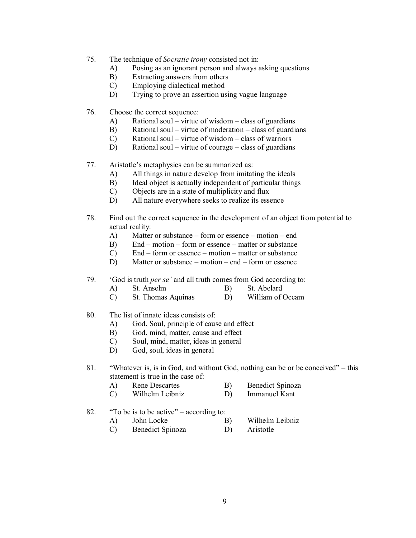- 75. The technique of *Socratic irony* consisted not in:
	- A) Posing as an ignorant person and always asking questions
	- B) Extracting answers from others
	- C) Employing dialectical method
	- D) Trying to prove an assertion using vague language
- 76. Choose the correct sequence:
	- A) Rational soul virtue of wisdom class of guardians
	- B) Rational soul virtue of moderation class of guardians
	- C) Rational soul virtue of wisdom class of warriors
	- D) Rational soul virtue of courage class of guardians
- 77. Aristotle's metaphysics can be summarized as:
	- A) All things in nature develop from imitating the ideals
	- B) Ideal object is actually independent of particular things
	- C) Objects are in a state of multiplicity and flux
	- D) All nature everywhere seeks to realize its essence
- 78. Find out the correct sequence in the development of an object from potential to actual reality:
	- A) Matter or substance form or essence motion end
	- B) End motion form or essence matter or substance
	- C) End form or essence motion matter or substance
	- D) Matter or substance motion end form or essence
- 79. 'God is truth *per se'* and all truth comes from God according to:
	- A) St. Anselm B) St. Abelard
	- C) St. Thomas Aquinas D) William of Occam
- 80. The list of innate ideas consists of:
	- A) God, Soul, principle of cause and effect
	- B) God, mind, matter, cause and effect
	- C) Soul, mind, matter, ideas in general
	- D) God, soul, ideas in general

81. "Whatever is, is in God, and without God, nothing can be or be conceived" – this statement is true in the case of:

- A) Rene Descartes B) Benedict Spinoza
- C) Wilhelm Leibniz D) Immanuel Kant
- 82. "To be is to be active" according to:
	- A) John Locke B) Wilhelm Leibniz
		- C) Benedict Spinoza D) Aristotle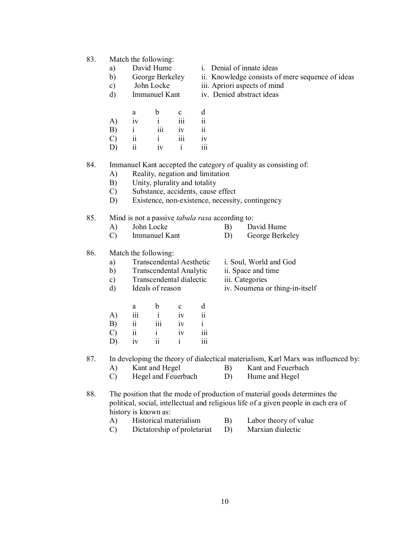- 83. Match the following:
	-
	-
	-
	-
	- a b c d A) iv i iii ii B) i iii iv ii C) ii i iii iv D) ii iv i iii
	- a) David Hume i. Denial of innate ideas
	- b) George Berkeley ii. Knowledge consists of mere sequence of ideas
	- c) John Locke iii. Apriori aspects of mind
	- d) Immanuel Kant iv. Denied abstract ideas
- 84. Immanuel Kant accepted the category of quality as consisting of:
	- A) Reality, negation and limitation
	- B) Unity, plurality and totality
	- C) Substance, accidents, cause effect
	- D) Existence, non-existence, necessity, contingency
- 85. Mind is not a passive *tabula rasa* according to:
	- A) John Locke B) David Hume
	- C) Immanuel Kant D) George Berkeley

#### 86. Match the following:

- a) Transcendental Aesthetic i. Soul, World and God
- b) Transcendental Analytic ii. Space and time
- c) Transcendental dialectic iii. Categories<br>
d) Ideals of reason iv. Noumena c
- 
- 
- a b c d A) iii i iv ii B) ii iii iv i C) ii i iv iii D) iv ii i iii

87. In developing the theory of dialectical materialism, Karl Marx was influenced by:

- A) Kant and Hegel B) Kant and Feuerbach
- C) Hegel and Feuerbach D) Hume and Hegel
- 88. The position that the mode of production of material goods determines the political, social, intellectual and religious life of a given people in each era of history is known as:
	- A) Historical materialism B) Labor theory of value
		-
	- C) Dictatorship of proletariat D) Marxian dialectic

- 
- 
- d) Ideals of reason iv. Noumena or thing-in-itself
-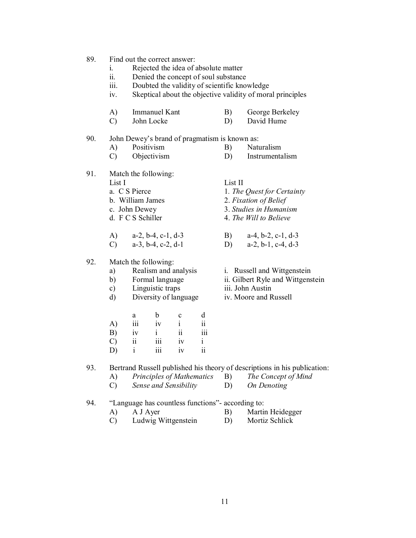- 89. Find out the correct answer:
	- i. Rejected the idea of absolute matter
	- ii. Denied the concept of soul substance
		- iii. Doubted the validity of scientific knowledge
		- iv. Skeptical about the objective validity of moral principles
	- A) Immanuel Kant B) George Berkeley
	- C) John Locke D) David Hume

#### 90. John Dewey's brand of pragmatism is known as:

- A) Positivism B) Naturalism C) Objectivism D) Instrumentalism
- 91. Match the following:
	- - List I<br>
		a. C S Pierce 1. The
		- b. William James 2. *Fixation of Belief*
		- c. John Dewey 3. *Studies in Humanism*
		- d. F C S Schiller 4. *The Will to Believe*
		- A) a-2, b-4, c-1, d-3 B) a-4, b-2, c-1, d-3
		- C) a-3, b-4, c-2, d-1 D) a-2, b-1, c-4, d-3

## 92. Match the following:<br>a) Realism and analysis

- a) Realism and analysis i. Russell and Wittgenstein
- 
- c) Linguistic traps
- d) Diversity of language iv. Moore and Russell
- 

1. The Quest for Certainty

- b) Formal language ii. Gilbert Ryle and Wittgenstein<br>
c) Linguistic traps iii. John Austin
	-
	-

|               | a   | b        | c      | d                       |
|---------------|-----|----------|--------|-------------------------|
|               | 111 | iv       | ٠<br>1 | $\overline{\mathbf{i}}$ |
| A)<br>B)      | iv  | 1        | ii     | iii                     |
| $\mathcal{C}$ | 11  | iii      | iv     | $\mathbf{i}$            |
| D)            |     | .<br>iïi | iv     | ii                      |

93. Bertrand Russell published his theory of descriptions in his publication:

- A) *Principles of Mathematics* B) *The Concept of Mind*
- C) *Sense and Sensibility* D) *On Denoting*

#### 94. "Language has countless functions"- according to:

- A) A J Ayer B) Martin Heidegger
- C) Ludwig Wittgenstein D) Mortiz Schlick
- 
-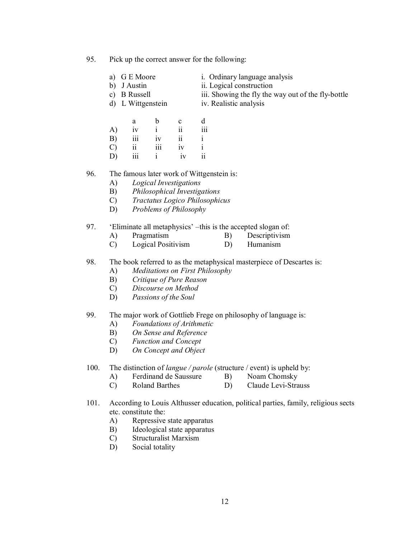95. Pick up the correct answer for the following:

- a) G E Moore i. Ordinary language analysis<br>b) J Austin ii. Logical construction
	-
- 
- 
- c) B Russell iii. Showing the fly the way out of the fly-bottle

ii. Logical construction

d) L Wittgenstein iv. Realistic analysis

|               | a   | b   | c  | d            |
|---------------|-----|-----|----|--------------|
| A)            | iv  | i   | ii | <br>111      |
| B)            | iii | iv  | ii |              |
| $\mathcal{C}$ | ii  | 111 | iv | $\mathbf{i}$ |
| D)            | 111 |     | iv | ii           |

#### 96. The famous later work of Wittgenstein is:

- A) *Logical Investigations*
- B) *Philosophical Investigations*
- C) *Tractatus Logico Philosophicus*
- D) *Problems of Philosophy*

#### 97. 'Eliminate all metaphysics' –this is the accepted slogan of:

- A) Pragmatism B) Descriptivism
- C) Logical Positivism D) Humanism

### 98. The book referred to as the metaphysical masterpiece of Descartes is:

- A) *Meditations on First Philosophy*
- B) *Critique of Pure Reason*
- C) *Discourse on Method*
- D) *Passions of the Soul*

#### 99. The major work of Gottlieb Frege on philosophy of language is:

- A) *Foundations of Arithmetic*
- B) *On Sense and Reference*
- C) *Function and Concept*
- D) *On Concept and Object*
- 100. The distinction of *langue / parole* (structure / event) is upheld by:
	- A) Ferdinand de Saussure B) Noam Chomsky<br>C) Roland Barthes D) Claude Levi-Stra
	- C) Roland Barthes D) Claude Levi-Strauss
- 101. According to Louis Althusser education, political parties, family, religious sects etc. constitute the:
	- A) Repressive state apparatus
	- B) Ideological state apparatus
	- C) Structuralist Marxism
	- D) Social totality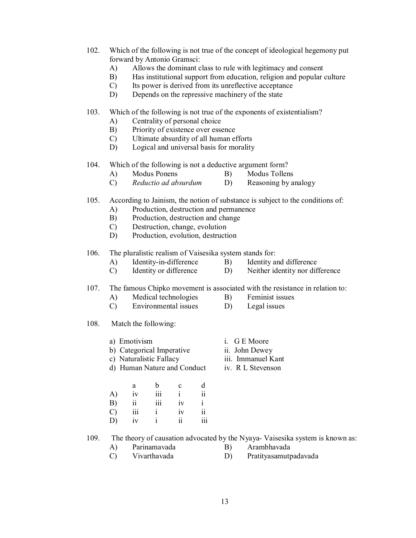- 102. Which of the following is not true of the concept of ideological hegemony put forward by Antonio Gramsci:
	- A) Allows the dominant class to rule with legitimacy and consent
	- B) Has institutional support from education, religion and popular culture
	- C) Its power is derived from its unreflective acceptance
	- D) Depends on the repressive machinery of the state

103. Which of the following is not true of the exponents of existentialism?

- A) Centrality of personal choice
- B) Priority of existence over essence
- C) Ultimate absurdity of all human efforts
- D) Logical and universal basis for morality
- 104. Which of the following is not a deductive argument form?
	- A) Modus Ponens B) Modus Tollens
	- C) *Reductio ad absurdum* D) Reasoning by analogy
- 105. According to Jainism, the notion of substance is subject to the conditions of:
	- A) Production, destruction and permanence
	- B) Production, destruction and change
	- C) Destruction, change, evolution
	- D) Production, evolution, destruction
- 106. The pluralistic realism of Vaisesika system stands for:
	- A) Identity-in-difference B) Identity and difference
	- C) Identity or difference D) Neither identity nor difference
- 107. The famous Chipko movement is associated with the resistance in relation to:
	- A) Medical technologies B) Feminist issues<br>C) Environmental issues D) Legal issues
	- $C$  Environmental issues  $D$
- 108. Match the following:
	- a) Emotivism i. G E Moore b) Categorical Imperative ii. John Dewey c) Naturalistic Fallacy iii. Immanuel Kant d) Human Nature and Conduct iv. R L Stevenson

|               | a   | b   | c  | d                |
|---------------|-----|-----|----|------------------|
| A)            | iv  | iii | i  | ii               |
| B)            | ii  | iii | iv | $\mathbf{i}$     |
| $\mathcal{C}$ | 111 |     | iv | $\ddot{\rm ii}$  |
| D)            | iv  |     | 11 | $\overline{111}$ |

109. The theory of causation advocated by the Nyaya- Vaisesika system is known as:

A) Parinamavada B) Arambhavada C) Vivarthavada D) Pratityasamutpadavada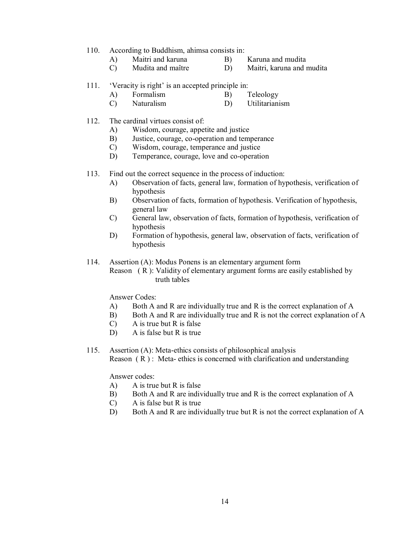- 110. According to Buddhism, ahimsa consists in:
	- A) Maitri and karuna B) Karuna and mudita
- - C) Mudita and maître D) Maitri, karuna and mudita

#### 111. 'Veracity is right' is an accepted principle in:

- A) Formalism B) Teleology
- C) Naturalism D) Utilitarianism
- 112. The cardinal virtues consist of:
	- A) Wisdom, courage, appetite and justice
	- B) Justice, courage, co-operation and temperance
	- C) Wisdom, courage, temperance and justice
	- D) Temperance, courage, love and co-operation

113. Find out the correct sequence in the process of induction:

- A) Observation of facts, general law, formation of hypothesis, verification of hypothesis
- B) Observation of facts, formation of hypothesis. Verification of hypothesis, general law
- C) General law, observation of facts, formation of hypothesis, verification of hypothesis
- D) Formation of hypothesis, general law, observation of facts, verification of hypothesis
- 114. Assertion (A): Modus Ponens is an elementary argument form

Reason ( R ): Validity of elementary argument forms are easily established by truth tables

Answer Codes:

- A) Both A and R are individually true and R is the correct explanation of A
- B) Both A and R are individually true and R is not the correct explanation of A
- C) A is true but R is false
- D) A is false but R is true
- 115. Assertion (A): Meta-ethics consists of philosophical analysis Reason  $(R)$ : Meta- ethics is concerned with clarification and understanding

Answer codes:

- A) A is true but R is false
- B) Both A and R are individually true and R is the correct explanation of A
- C) A is false but R is true
- D) Both A and R are individually true but R is not the correct explanation of A